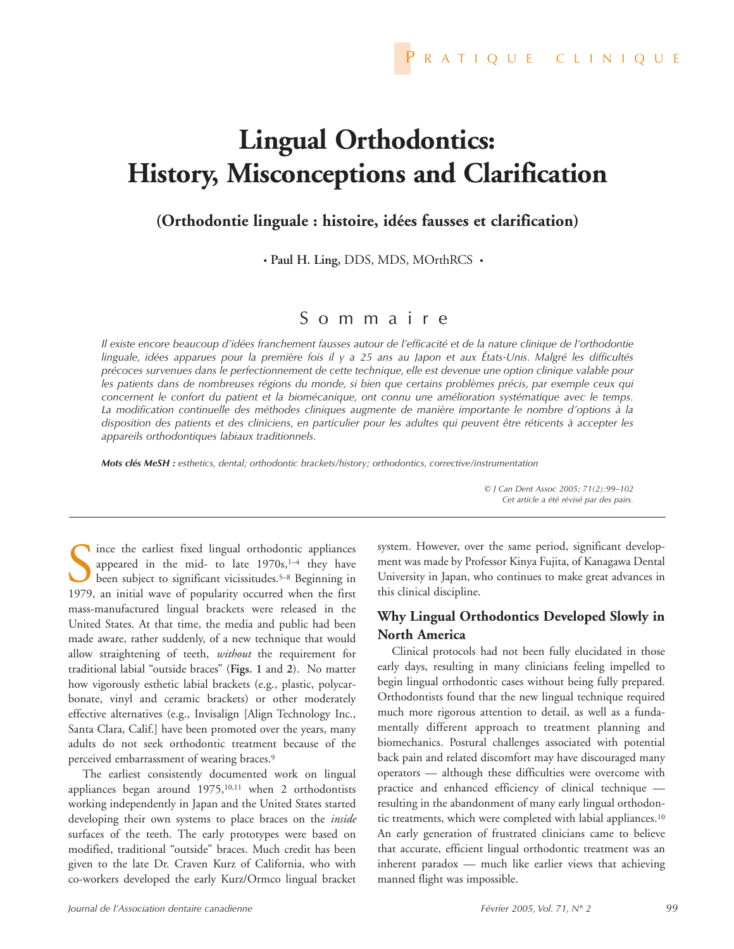# **Lingual Orthodontics: History, Misconceptions and Clarification**

## **(Orthodontie linguale : histoire, idées fausses et clarification)**

• **Paul H. Ling,** DDS, MDS, MOrthRCS •

# Sommaire

*Il existe encore beaucoup d'idées franchement fausses autour de l'efficacité et de la nature clinique de l'orthodontie linguale, idées apparues pour la première fois il y a 25 ans au Japon et aux États-Unis. Malgré les difficultés précoces survenues dans le perfectionnement de cette technique, elle est devenue une option clinique valable pour les patients dans de nombreuses régions du monde, si bien que certains problèmes précis, par exemple ceux qui concernent le confort du patient et la biomécanique, ont connu une amélioration systématique avec le temps. La modification continuelle des méthodes cliniques augmente de manière importante le nombre d'options à la disposition des patients et des cliniciens, en particulier pour les adultes qui peuvent être réticents à accepter les appareils orthodontiques labiaux traditionnels.*

*Mots clés MeSH : esthetics, dental; orthodontic brackets/history; orthodontics, corrective/instrumentation*

*© J Can Dent Assoc 2005; 71(2):99–102 Cet article a été révisé par des pairs.*

Since the earliest fixed lingual orthodontic appliances<br>appeared in the mid- to late  $1970s$ ,<sup>1-4</sup> they have<br>been subject to significant vicissitudes.<sup>5-8</sup> Beginning in<br>1979. an initial wave of popularity occurred when th appeared in the mid- to late  $1970s$ ,<sup>1-4</sup> they have been subject to significant vicissitudes.5–8 Beginning in 1979, an initial wave of popularity occurred when the first mass-manufactured lingual brackets were released in the United States. At that time, the media and public had been made aware, rather suddenly, of a new technique that would allow straightening of teeth, *without* the requirement for traditional labial "outside braces" (**Figs. 1** and **2**). No matter how vigorously esthetic labial brackets (e.g., plastic, polycarbonate, vinyl and ceramic brackets) or other moderately effective alternatives (e.g., Invisalign [Align Technology Inc., Santa Clara, Calif.] have been promoted over the years, many adults do not seek orthodontic treatment because of the perceived embarrassment of wearing braces.<sup>9</sup>

The earliest consistently documented work on lingual appliances began around 1975,<sup>10,11</sup> when 2 orthodontists working independently in Japan and the United States started developing their own systems to place braces on the *inside* surfaces of the teeth. The early prototypes were based on modified, traditional "outside" braces. Much credit has been given to the late Dr. Craven Kurz of California, who with co-workers developed the early Kurz/Ormco lingual bracket

system. However, over the same period, significant development was made by Professor Kinya Fujita, of Kanagawa Dental University in Japan, who continues to make great advances in this clinical discipline.

### **Why Lingual Orthodontics Developed Slowly in North America**

Clinical protocols had not been fully elucidated in those early days, resulting in many clinicians feeling impelled to begin lingual orthodontic cases without being fully prepared. Orthodontists found that the new lingual technique required much more rigorous attention to detail, as well as a fundamentally different approach to treatment planning and biomechanics. Postural challenges associated with potential back pain and related discomfort may have discouraged many operators — although these difficulties were overcome with practice and enhanced efficiency of clinical technique resulting in the abandonment of many early lingual orthodontic treatments, which were completed with labial appliances.<sup>10</sup> An early generation of frustrated clinicians came to believe that accurate, efficient lingual orthodontic treatment was an inherent paradox — much like earlier views that achieving manned flight was impossible.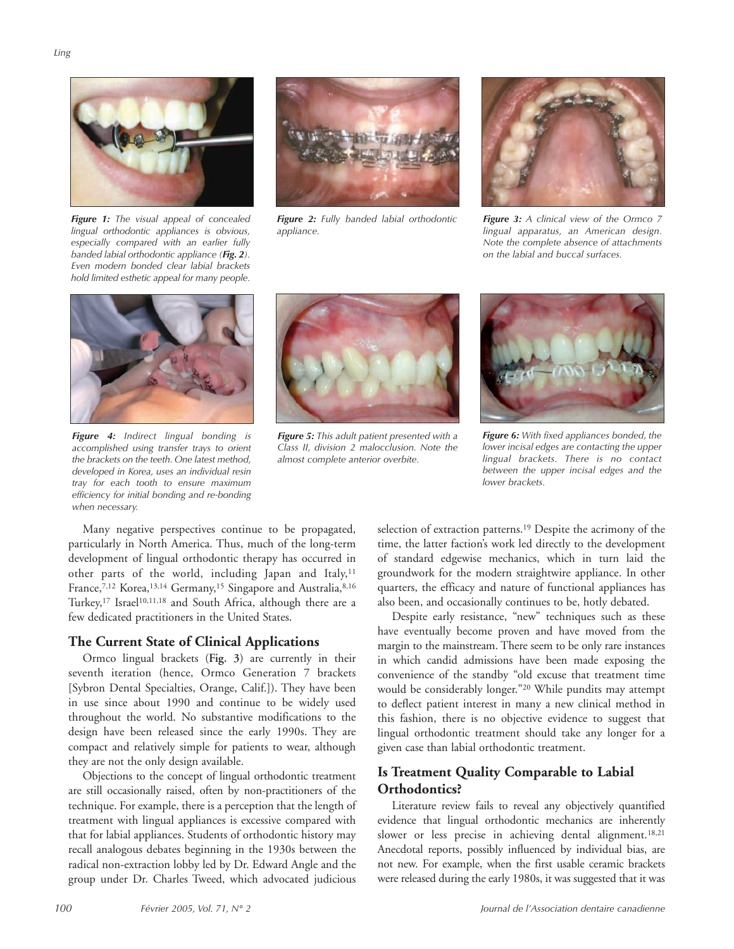

*Figure 1: The visual appeal of concealed lingual orthodontic appliances is obvious, especially compared with an earlier fully banded labial orthodontic appliance (Fig. 2). Even modern bonded clear labial brackets hold limited esthetic appeal for many people.*



*Figure 2: Fully banded labial orthodontic appliance.*



*Figure 3: A clinical view of the Ormco 7 lingual apparatus, an American design. Note the complete absence of attachments on the labial and buccal surfaces.*



*Figure 4: Indirect lingual bonding is accomplished using transfer trays to orient the brackets on the teeth. One latest method, developed in Korea, uses an individual resin tray for each tooth to ensure maximum efficiency for initial bonding and re-bonding when necessary.*



*Figure 5: This adult patient presented with a Class II, division 2 malocclusion. Note the almost complete anterior overbite.*



*Figure 6: With fixed appliances bonded, the lower incisal edges are contacting the upper lingual brackets. There is no contact between the upper incisal edges and the lower brackets.*

Many negative perspectives continue to be propagated, particularly in North America. Thus, much of the long-term development of lingual orthodontic therapy has occurred in other parts of the world, including Japan and Italy,<sup>11</sup> France,<sup>7,12</sup> Korea,<sup>13,14</sup> Germany,<sup>15</sup> Singapore and Australia,<sup>8,16</sup> Turkey,<sup>17</sup> Israel<sup>10,11,18</sup> and South Africa, although there are a few dedicated practitioners in the United States.

#### **The Current State of Clinical Applications**

Ormco lingual brackets (**Fig. 3**) are currently in their seventh iteration (hence, Ormco Generation 7 brackets [Sybron Dental Specialties, Orange, Calif.]). They have been in use since about 1990 and continue to be widely used throughout the world. No substantive modifications to the design have been released since the early 1990s. They are compact and relatively simple for patients to wear, although they are not the only design available.

Objections to the concept of lingual orthodontic treatment are still occasionally raised, often by non-practitioners of the technique. For example, there is a perception that the length of treatment with lingual appliances is excessive compared with that for labial appliances. Students of orthodontic history may recall analogous debates beginning in the 1930s between the radical non-extraction lobby led by Dr. Edward Angle and the group under Dr. Charles Tweed, which advocated judicious

selection of extraction patterns.19 Despite the acrimony of the time, the latter faction's work led directly to the development of standard edgewise mechanics, which in turn laid the groundwork for the modern straightwire appliance. In other quarters, the efficacy and nature of functional appliances has also been, and occasionally continues to be, hotly debated.

Despite early resistance, "new" techniques such as these have eventually become proven and have moved from the margin to the mainstream. There seem to be only rare instances in which candid admissions have been made exposing the convenience of the standby "old excuse that treatment time would be considerably longer."20 While pundits may attempt to deflect patient interest in many a new clinical method in this fashion, there is no objective evidence to suggest that lingual orthodontic treatment should take any longer for a given case than labial orthodontic treatment.

#### **Is Treatment Quality Comparable to Labial Orthodontics?**

Literature review fails to reveal any objectively quantified evidence that lingual orthodontic mechanics are inherently slower or less precise in achieving dental alignment.18,21 Anecdotal reports, possibly influenced by individual bias, are not new. For example, when the first usable ceramic brackets were released during the early 1980s, it was suggested that it was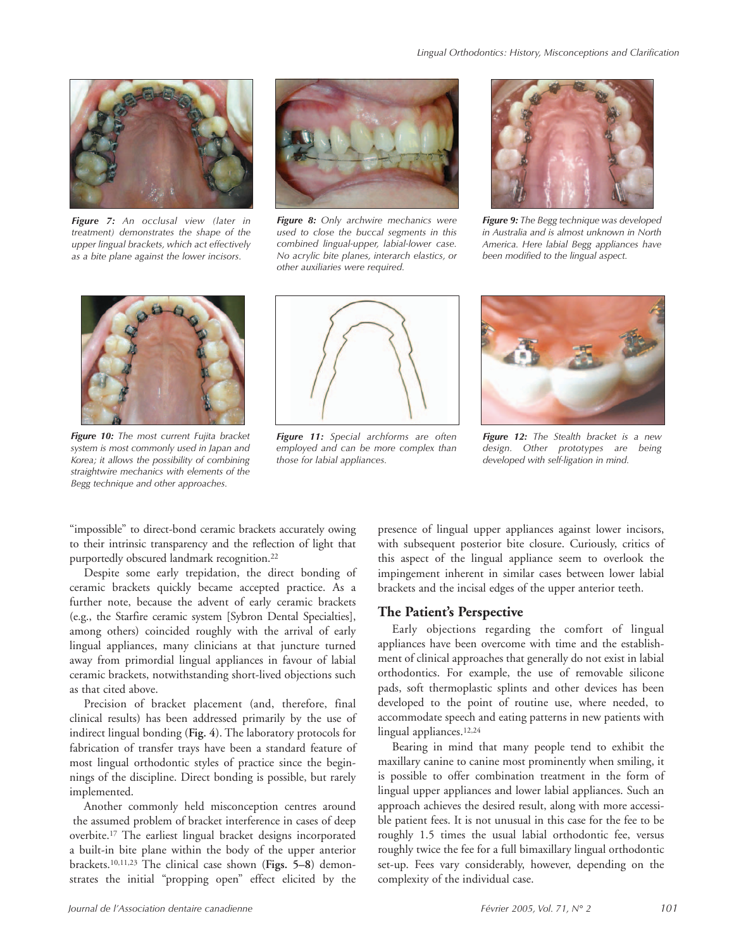

*Figure 7: An occlusal view (later in treatment) demonstrates the shape of the upper lingual brackets, which act effectively as a bite plane against the lower incisors.*



*Figure 8: Only archwire mechanics were used to close the buccal segments in this combined lingual-upper, labial-lower case. No acrylic bite planes, interarch elastics, or other auxiliaries were required.*



*Figure 9: The Begg technique was developed in Australia and is almost unknown in North America. Here labial Begg appliances have been modified to the lingual aspect.*



*Figure 10: The most current Fujita bracket system is most commonly used in Japan and Korea; it allows the possibility of combining straightwire mechanics with elements of the Begg technique and other approaches.*



*Figure 11: Special archforms are often employed and can be more complex than those for labial appliances.*



*Figure 12: The Stealth bracket is a new design. Other prototypes are being developed with self-ligation in mind.*

"impossible" to direct-bond ceramic brackets accurately owing to their intrinsic transparency and the reflection of light that purportedly obscured landmark recognition.22

Despite some early trepidation, the direct bonding of ceramic brackets quickly became accepted practice. As a further note, because the advent of early ceramic brackets (e.g., the Starfire ceramic system [Sybron Dental Specialties], among others) coincided roughly with the arrival of early lingual appliances, many clinicians at that juncture turned away from primordial lingual appliances in favour of labial ceramic brackets, notwithstanding short-lived objections such as that cited above.

Precision of bracket placement (and, therefore, final clinical results) has been addressed primarily by the use of indirect lingual bonding (**Fig. 4**). The laboratory protocols for fabrication of transfer trays have been a standard feature of most lingual orthodontic styles of practice since the beginnings of the discipline. Direct bonding is possible, but rarely implemented.

Another commonly held misconception centres around the assumed problem of bracket interference in cases of deep overbite.17 The earliest lingual bracket designs incorporated a built-in bite plane within the body of the upper anterior brackets.10,11,23 The clinical case shown (**Figs. 5–8**) demonstrates the initial "propping open" effect elicited by the

presence of lingual upper appliances against lower incisors, with subsequent posterior bite closure. Curiously, critics of this aspect of the lingual appliance seem to overlook the impingement inherent in similar cases between lower labial brackets and the incisal edges of the upper anterior teeth.

#### **The Patient's Perspective**

Early objections regarding the comfort of lingual appliances have been overcome with time and the establishment of clinical approaches that generally do not exist in labial orthodontics. For example, the use of removable silicone pads, soft thermoplastic splints and other devices has been developed to the point of routine use, where needed, to accommodate speech and eating patterns in new patients with lingual appliances.12,24

Bearing in mind that many people tend to exhibit the maxillary canine to canine most prominently when smiling, it is possible to offer combination treatment in the form of lingual upper appliances and lower labial appliances. Such an approach achieves the desired result, along with more accessible patient fees. It is not unusual in this case for the fee to be roughly 1.5 times the usual labial orthodontic fee, versus roughly twice the fee for a full bimaxillary lingual orthodontic set-up. Fees vary considerably, however, depending on the complexity of the individual case.